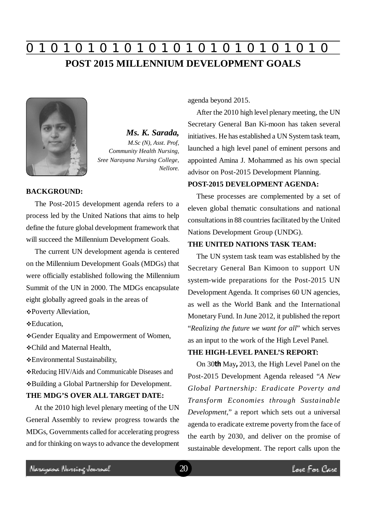# **0 z 0 z 0 z 0 z 0 z 0 z 0 z 0 z 0 z 0 z 0 z 0 z 0 POST 2015 MILLENNIUM DEVELOPMENT GOALS**



*Ms. K. Sarada, M.Sc (N), Asst. Prof, Community Health Nursing, Sree Narayana Nursing College, Nellore.*

#### **BACKGROUND:**

The Post-2015 development agenda refers to a process led by the United Nations that aims to help define the future global development framework that will succeed the Millennium Development Goals.

The current UN development agenda is centered on the Millennium Development Goals (MDGs) that were officially established following the Millennium Summit of the UN in 2000. The MDGs encapsulate eight globally agreed goals in the areas of

Poverty Alleviation,

Education,

Gender Equality and Empowerment of Women,

Child and Maternal Health,

Environmental Sustainability,

Reducing HIV/Aids and Communicable Diseases and Building a Global Partnership for Development. **THE MDG'S OVER ALL TARGET DATE:**

## At the 2010 high level plenary meeting of the UN General Assembly to review progress towards the MDGs, Governments called for accelerating progress and for thinking on ways to advance the development

agenda beyond 2015.

After the 2010 high level plenary meeting, the UN Secretary General Ban Ki-moon has taken several initiatives. He has established a UN System task team, launched a high level panel of eminent persons and appointed Amina J. Mohammed as his own special advisor on Post-2015 Development Planning.

#### **POST-2015 DEVELOPMENT AGENDA:**

These processes are complemented by a set of eleven global thematic consultations and national consultations in 88 countries facilitated by the United Nations Development Group (UNDG).

#### **THE UNITED NATIONS TASK TEAM:**

The UN system task team was established by the Secretary General Ban Kimoon to support UN system-wide preparations for the Post-2015 UN Development Agenda. It comprises 60 UN agencies, as well as the World Bank and the International Monetary Fund. In June 2012, it published the report "*Realizing the future we want for all*" which serves as an input to the work of the High Level Panel.

#### **THE HIGH-LEVEL PANEL'S REPORT:**

On 30**th** May**,** 2013, the High Level Panel on the Post-2015 Development Agenda released "*A New Global Partnership: Eradicate Poverty and Transform Economies through Sustainable Development*," a report which sets out a universal agenda to eradicate extreme poverty from the face of the earth by 2030, and deliver on the promise of sustainable development. The report calls upon the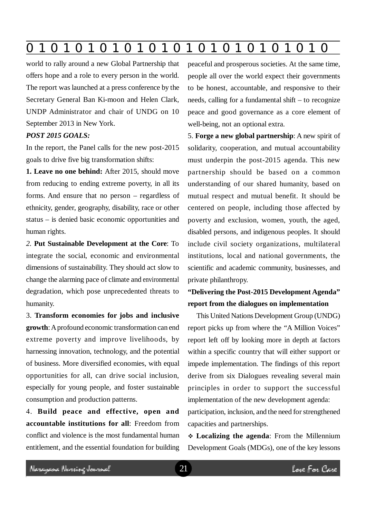world to rally around a new Global Partnership that offers hope and a role to every person in the world. The report was launched at a press conference by the Secretary General Ban Ki-moon and Helen Clark, UNDP Administrator and chair of UNDG on 10 September 2013 in New York.

#### *POST 2015 GOALS:*

In the report, the Panel calls for the new post-2015 goals to drive five big transformation shifts:

**1. Leave no one behind:** After 2015, should move from reducing to ending extreme poverty, in all its forms. And ensure that no person – regardless of ethnicity, gender, geography, disability, race or other status – is denied basic economic opportunities and human rights.

*2.* **Put Sustainable Development at the Core**: To integrate the social, economic and environmental dimensions of sustainability. They should act slow to change the alarming pace of climate and environmental degradation, which pose unprecedented threats to humanity.

3. **Transform economies for jobs and inclusive growth**: A profound economic transformation can end extreme poverty and improve livelihoods, by harnessing innovation, technology, and the potential of business. More diversified economies, with equal opportunities for all, can drive social inclusion, especially for young people, and foster sustainable consumption and production patterns.

4. **Build peace and effective, open and accountable institutions for all**: Freedom from conflict and violence is the most fundamental human entitlement, and the essential foundation for building peaceful and prosperous societies. At the same time, people all over the world expect their governments to be honest, accountable, and responsive to their needs, calling for a fundamental shift – to recognize peace and good governance as a core element of well-being, not an optional extra.

5. **Forge a new global partnership**: A new spirit of solidarity, cooperation, and mutual accountability must underpin the post-2015 agenda. This new partnership should be based on a common understanding of our shared humanity, based on mutual respect and mutual benefit. It should be centered on people, including those affected by poverty and exclusion, women, youth, the aged, disabled persons, and indigenous peoples. It should include civil society organizations, multilateral institutions, local and national governments, the scientific and academic community, businesses, and private philanthropy.

### **"Delivering the Post-2015 Development Agenda" report from the dialogues on implementation**

This United Nations Development Group (UNDG) report picks up from where the "A Million Voices" report left off by looking more in depth at factors within a specific country that will either support or impede implementation. The findings of this report derive from six Dialogues revealing several main principles in order to support the successful implementation of the new development agenda:

participation, inclusion, and the need for strengthened capacities and partnerships.

 **Localizing the agenda**: From the Millennium Development Goals (MDGs), one of the key lessons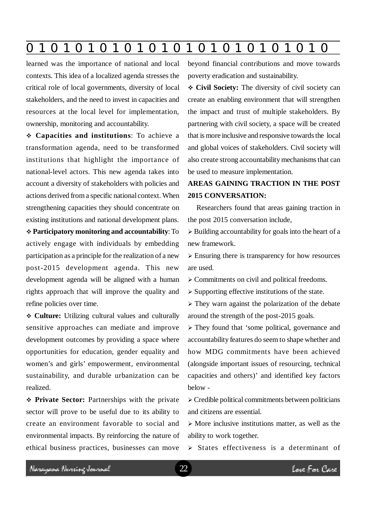**0 z 0 z 0 z 0 z 0 z 0 z 0 z 0 z 0 z 0 z 0 z 0 z 0**

learned was the importance of national and local contexts. This idea of a localized agenda stresses the critical role of local governments, diversity of local stakeholders, and the need to invest in capacities and resources at the local level for implementation, ownership, monitoring and accountability.

 **Capacities and institutions**: To achieve a transformation agenda, need to be transformed institutions that highlight the importance of national-level actors. This new agenda takes into account a diversity of stakeholders with policies and actions derived from a specific national context. When strengthening capacities they should concentrate on existing institutions and national development plans.

 **Participatory monitoring and accountability**: To actively engage with individuals by embedding participation as a principle for the realization of a new post-2015 development agenda. This new development agenda will be aligned with a human rights approach that will improve the quality and refine policies over time.

 **Culture:** Utilizing cultural values and culturally sensitive approaches can mediate and improve development outcomes by providing a space where opportunities for education, gender equality and women's and girls' empowerment, environmental sustainability, and durable urbanization can be realized.

 **Private Sector:** Partnerships with the private sector will prove to be useful due to its ability to create an environment favorable to social and environmental impacts. By reinforcing the nature of ethical business practices, businesses can move beyond financial contributions and move towards poverty eradication and sustainability.

 **Civil Society:** The diversity of civil society can create an enabling environment that will strengthen the impact and trust of multiple stakeholders. By partnering with civil society, a space will be created that is more inclusive and responsive towards the local and global voices of stakeholders. Civil society will also create strong accountability mechanisms that can be used to measure implementation.

## **AREAS GAINING TRACTION IN THE POST 2015 CONVERSATION:**

Researchers found that areas gaining traction in the post 2015 conversation include,

 $\triangleright$  Building accountability for goals into the heart of a new framework.

 $\triangleright$  Ensuring there is transparency for how resources are used.

 $\geq$  Commitments on civil and political freedoms.

 $\triangleright$  Supporting effective institutions of the state.

 $\triangleright$  They warn against the polarization of the debate around the strength of the post-2015 goals.

 They found that 'some political, governance and accountability features do seem to shape whether and how MDG commitments have been achieved (alongside important issues of resourcing, technical capacities and others)' and identified key factors below -

 $\triangleright$  Credible political commitments between politicians and citizens are essential.

 $\triangleright$  More inclusive institutions matter, as well as the ability to work together.

 $\triangleright$  States effectiveness is a determinant of